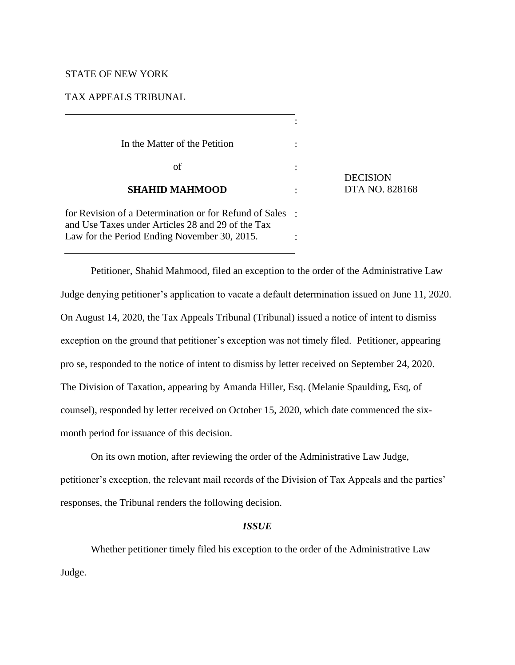# STATE OF NEW YORK

## TAX APPEALS TRIBUNAL

| In the Matter of the Petition                                                                                 |                 |
|---------------------------------------------------------------------------------------------------------------|-----------------|
| οf                                                                                                            | <b>DECISION</b> |
| <b>SHAHID MAHMOOD</b>                                                                                         | DTA NO. 828168  |
| for Revision of a Determination or for Refund of Sales :<br>and Use Taxes under Articles 28 and 29 of the Tax |                 |
| Law for the Period Ending November 30, 2015.                                                                  |                 |

Petitioner, Shahid Mahmood, filed an exception to the order of the Administrative Law Judge denying petitioner's application to vacate a default determination issued on June 11, 2020. On August 14, 2020, the Tax Appeals Tribunal (Tribunal) issued a notice of intent to dismiss exception on the ground that petitioner's exception was not timely filed. Petitioner, appearing pro se, responded to the notice of intent to dismiss by letter received on September 24, 2020. The Division of Taxation, appearing by Amanda Hiller, Esq. (Melanie Spaulding, Esq, of counsel), responded by letter received on October 15, 2020, which date commenced the sixmonth period for issuance of this decision.

On its own motion, after reviewing the order of the Administrative Law Judge, petitioner's exception, the relevant mail records of the Division of Tax Appeals and the parties' responses, the Tribunal renders the following decision.

## *ISSUE*

Whether petitioner timely filed his exception to the order of the Administrative Law Judge.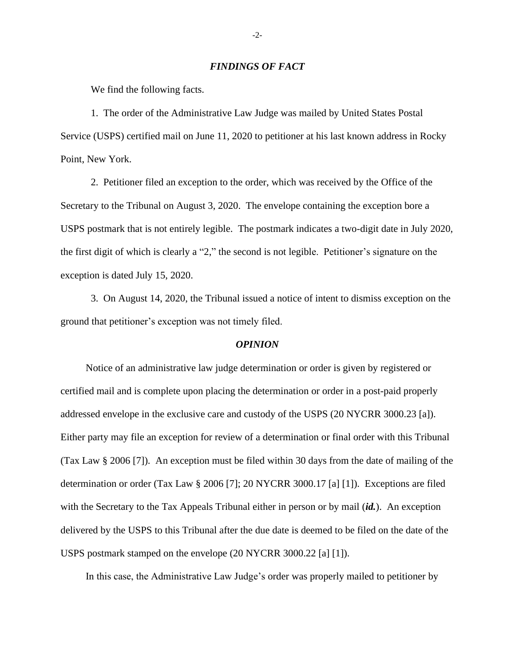#### *FINDINGS OF FACT*

We find the following facts.

1. The order of the Administrative Law Judge was mailed by United States Postal Service (USPS) certified mail on June 11, 2020 to petitioner at his last known address in Rocky Point, New York.

2. Petitioner filed an exception to the order, which was received by the Office of the Secretary to the Tribunal on August 3, 2020. The envelope containing the exception bore a USPS postmark that is not entirely legible. The postmark indicates a two-digit date in July 2020, the first digit of which is clearly a "2," the second is not legible. Petitioner's signature on the exception is dated July 15, 2020.

3. On August 14, 2020, the Tribunal issued a notice of intent to dismiss exception on the ground that petitioner's exception was not timely filed.

#### *OPINION*

Notice of an administrative law judge determination or order is given by registered or certified mail and is complete upon placing the determination or order in a post-paid properly addressed envelope in the exclusive care and custody of the USPS (20 NYCRR 3000.23 [a]). Either party may file an exception for review of a determination or final order with this Tribunal (Tax Law § 2006 [7]). An exception must be filed within 30 days from the date of mailing of the determination or order (Tax Law § 2006 [7]; 20 NYCRR 3000.17 [a] [1]). Exceptions are filed with the Secretary to the Tax Appeals Tribunal either in person or by mail (*id.*). An exception delivered by the USPS to this Tribunal after the due date is deemed to be filed on the date of the USPS postmark stamped on the envelope (20 NYCRR 3000.22 [a] [1]).

In this case, the Administrative Law Judge's order was properly mailed to petitioner by

-2-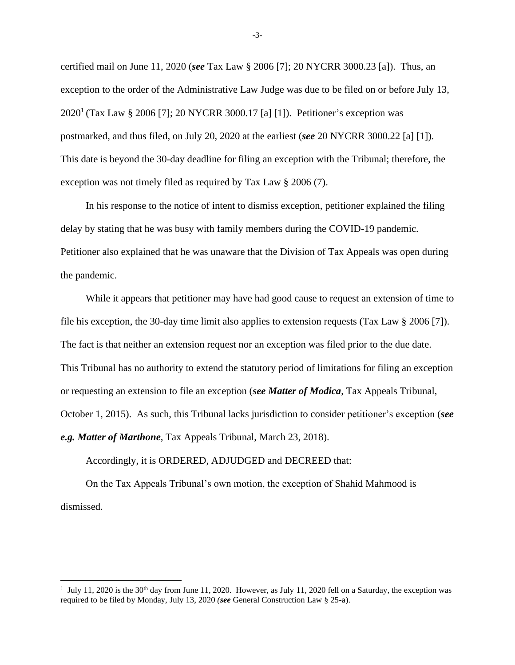certified mail on June 11, 2020 (*see* Tax Law § 2006 [7]; 20 NYCRR 3000.23 [a]). Thus, an exception to the order of the Administrative Law Judge was due to be filed on or before July 13, 2020<sup>1</sup> (Tax Law § 2006 [7]; 20 NYCRR 3000.17 [a] [1]). Petitioner's exception was postmarked, and thus filed, on July 20, 2020 at the earliest (*see* 20 NYCRR 3000.22 [a] [1]). This date is beyond the 30-day deadline for filing an exception with the Tribunal; therefore, the exception was not timely filed as required by Tax Law § 2006 (7).

In his response to the notice of intent to dismiss exception, petitioner explained the filing delay by stating that he was busy with family members during the COVID-19 pandemic. Petitioner also explained that he was unaware that the Division of Tax Appeals was open during the pandemic.

While it appears that petitioner may have had good cause to request an extension of time to file his exception, the 30-day time limit also applies to extension requests (Tax Law § 2006 [7]). The fact is that neither an extension request nor an exception was filed prior to the due date. This Tribunal has no authority to extend the statutory period of limitations for filing an exception or requesting an extension to file an exception (*see Matter of Modica*, Tax Appeals Tribunal, October 1, 2015). As such, this Tribunal lacks jurisdiction to consider petitioner's exception (*see e.g. Matter of Marthone*, Tax Appeals Tribunal, March 23, 2018).

Accordingly, it is ORDERED, ADJUDGED and DECREED that:

On the Tax Appeals Tribunal's own motion, the exception of Shahid Mahmood is dismissed.

-3-

<sup>&</sup>lt;sup>1</sup> July 11, 2020 is the 30<sup>th</sup> day from June 11, 2020. However, as July 11, 2020 fell on a Saturday, the exception was required to be filed by Monday, July 13, 2020 *(see* General Construction Law § 25-a).